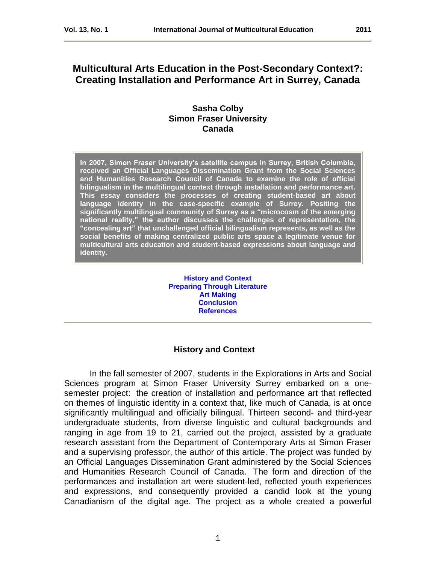# **Multicultural Arts Education in the Post-Secondary Context?: Creating Installation and Performance Art in Surrey, Canada**

## **Sasha Colby Simon Fraser University Canada**

**In 2007, Simon Fraser University's satellite campus in Surrey, British Columbia, received an Official Languages Dissemination Grant from the Social Sciences and Humanities Research Council of Canada to examine the role of official bilingualism in the multilingual context through installation and performance art. This essay considers the processes of creating student-based art about language identity in the case-specific example of Surrey. Positing the significantly multilingual community of Surrey as a "microcosm of the emerging national reality," the author discusses the challenges of representation, the "concealing art" that unchallenged official bilingualism represents, as well as the social benefits of making centralized public arts space a legitimate venue for multicultural arts education and student-based expressions about language and identity.** 

> **[History and Context](#page-0-0) [Preparing Through Literature](#page-3-0) [Art Making](#page-5-0) [Conclusion](#page-8-0) [References](#page-9-0)**

## <span id="page-0-0"></span> **History and Context**

In the fall semester of 2007, students in the Explorations in Arts and Social Sciences program at Simon Fraser University Surrey embarked on a onesemester project: the creation of installation and performance art that reflected on themes of linguistic identity in a context that, like much of Canada, is at once significantly multilingual and officially bilingual. Thirteen second- and third-year undergraduate students, from diverse linguistic and cultural backgrounds and ranging in age from 19 to 21, carried out the project, assisted by a graduate research assistant from the Department of Contemporary Arts at Simon Fraser and a supervising professor, the author of this article. The project was funded by an Official Languages Dissemination Grant administered by the Social Sciences and Humanities Research Council of Canada. The form and direction of the performances and installation art were student-led, reflected youth experiences and expressions, and consequently provided a candid look at the young Canadianism of the digital age. The project as a whole created a powerful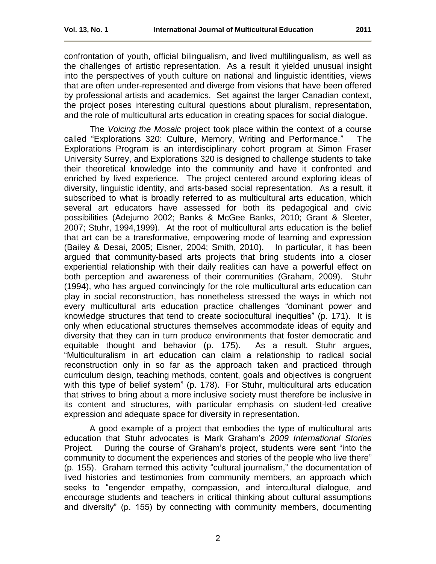confrontation of youth, official bilingualism, and lived multilingualism, as well as the challenges of artistic representation. As a result it yielded unusual insight into the perspectives of youth culture on national and linguistic identities, views that are often under-represented and diverge from visions that have been offered by professional artists and academics. Set against the larger Canadian context, the project poses interesting cultural questions about pluralism, representation, and the role of multicultural arts education in creating spaces for social dialogue.

The *Voicing the Mosaic* project took place within the context of a course called "Explorations 320: Culture, Memory, Writing and Performance." The Explorations Program is an interdisciplinary cohort program at Simon Fraser University Surrey, and Explorations 320 is designed to challenge students to take their theoretical knowledge into the community and have it confronted and enriched by lived experience. The project centered around exploring ideas of diversity, linguistic identity, and arts-based social representation. As a result, it subscribed to what is broadly referred to as multicultural arts education, which several art educators have assessed for both its pedagogical and civic possibilities (Adejumo 2002; Banks & McGee Banks, 2010; Grant & Sleeter, 2007; Stuhr, 1994,1999). At the root of multicultural arts education is the belief that art can be a transformative, empowering mode of learning and expression (Bailey & Desai, 2005; Eisner, 2004; Smith, 2010). In particular, it has been argued that community-based arts projects that bring students into a closer experiential relationship with their daily realities can have a powerful effect on both perception and awareness of their communities (Graham, 2009). Stuhr (1994), who has argued convincingly for the role multicultural arts education can play in social reconstruction, has nonetheless stressed the ways in which not every multicultural arts education practice challenges "dominant power and knowledge structures that tend to create sociocultural inequities" (p. 171). It is only when educational structures themselves accommodate ideas of equity and diversity that they can in turn produce environments that foster democratic and equitable thought and behavior (p. 175). As a result, Stuhr argues, ―Multiculturalism in art education can claim a relationship to radical social reconstruction only in so far as the approach taken and practiced through curriculum design, teaching methods, content, goals and objectives is congruent with this type of belief system" (p. 178). For Stuhr, multicultural arts education that strives to bring about a more inclusive society must therefore be inclusive in its content and structures, with particular emphasis on student-led creative expression and adequate space for diversity in representation.

A good example of a project that embodies the type of multicultural arts education that Stuhr advocates is Mark Graham's *2009 International Stories* Project. During the course of Graham's project, students were sent "into the community to document the experiences and stories of the people who live there" (p. 155). Graham termed this activity "cultural journalism," the documentation of lived histories and testimonies from community members, an approach which seeks to "engender empathy, compassion, and intercultural dialogue, and encourage students and teachers in critical thinking about cultural assumptions and diversity" (p. 155) by connecting with community members, documenting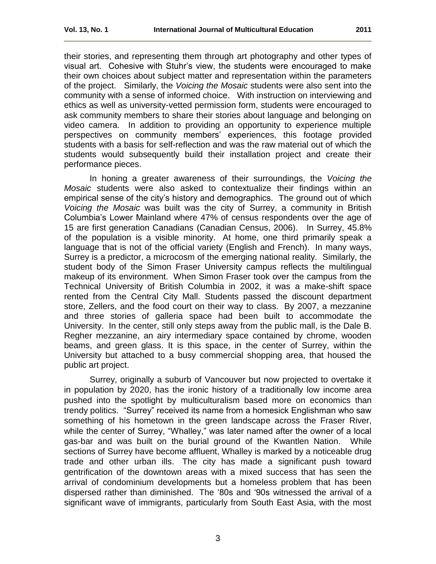their stories, and representing them through art photography and other types of visual art. Cohesive with Stuhr's view, the students were encouraged to make their own choices about subject matter and representation within the parameters of the project. Similarly, the *Voicing the Mosaic* students were also sent into the community with a sense of informed choice. With instruction on interviewing and ethics as well as university-vetted permission form, students were encouraged to ask community members to share their stories about language and belonging on video camera. In addition to providing an opportunity to experience multiple perspectives on community members' experiences, this footage provided students with a basis for self-reflection and was the raw material out of which the students would subsequently build their installation project and create their performance pieces.

In honing a greater awareness of their surroundings, the *Voicing the Mosaic* students were also asked to contextualize their findings within an empirical sense of the city's history and demographics. The ground out of which *Voicing the Mosaic* was built was the city of Surrey, a community in British Columbia's Lower Mainland where 47% of census respondents over the age of 15 are first generation Canadians (Canadian Census, 2006). In Surrey, 45.8% of the population is a visible minority. At home, one third primarily speak a language that is not of the official variety (English and French). In many ways, Surrey is a predictor, a microcosm of the emerging national reality. Similarly, the student body of the Simon Fraser University campus reflects the multilingual makeup of its environment. When Simon Fraser took over the campus from the Technical University of British Columbia in 2002, it was a make-shift space rented from the Central City Mall. Students passed the discount department store, Zellers, and the food court on their way to class. By 2007, a mezzanine and three stories of galleria space had been built to accommodate the University. In the center, still only steps away from the public mall, is the Dale B. Regher mezzanine, an airy intermediary space contained by chrome, wooden beams, and green glass. It is this space, in the center of Surrey, within the University but attached to a busy commercial shopping area, that housed the public art project.

Surrey, originally a suburb of Vancouver but now projected to overtake it in population by 2020, has the ironic history of a traditionally low income area pushed into the spotlight by multiculturalism based more on economics than trendy politics. "Surrey" received its name from a homesick Englishman who saw something of his hometown in the green landscape across the Fraser River, while the center of Surrey, "Whalley," was later named after the owner of a local gas-bar and was built on the burial ground of the Kwantlen Nation. While sections of Surrey have become affluent, Whalley is marked by a noticeable drug trade and other urban ills. The city has made a significant push toward gentrification of the downtown areas with a mixed success that has seen the arrival of condominium developments but a homeless problem that has been dispersed rather than diminished. The '80s and '90s witnessed the arrival of a significant wave of immigrants, particularly from South East Asia, with the most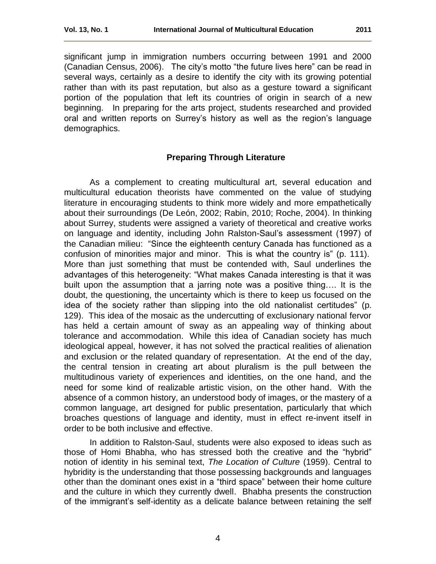significant jump in immigration numbers occurring between 1991 and 2000 (Canadian Census, 2006). The city's motto "the future lives here" can be read in several ways, certainly as a desire to identify the city with its growing potential rather than with its past reputation, but also as a gesture toward a significant portion of the population that left its countries of origin in search of a new beginning. In preparing for the arts project, students researched and provided oral and written reports on Surrey's history as well as the region's language demographics.

#### <span id="page-3-0"></span>**Preparing Through Literature**

As a complement to creating multicultural art, several education and multicultural education theorists have commented on the value of studying literature in encouraging students to think more widely and more empathetically about their surroundings (De León, 2002; Rabin, 2010; Roche, 2004). In thinking about Surrey, students were assigned a variety of theoretical and creative works on language and identity, including John Ralston-Saul's assessment (1997) of the Canadian milieu: "Since the eighteenth century Canada has functioned as a confusion of minorities major and minor. This is what the country is" (p. 111). More than just something that must be contended with, Saul underlines the advantages of this heterogeneity: "What makes Canada interesting is that it was built upon the assumption that a jarring note was a positive thing…. It is the doubt, the questioning, the uncertainty which is there to keep us focused on the idea of the society rather than slipping into the old nationalist certitudes" (p. 129). This idea of the mosaic as the undercutting of exclusionary national fervor has held a certain amount of sway as an appealing way of thinking about tolerance and accommodation. While this idea of Canadian society has much ideological appeal, however, it has not solved the practical realities of alienation and exclusion or the related quandary of representation. At the end of the day, the central tension in creating art about pluralism is the pull between the multitudinous variety of experiences and identities, on the one hand, and the need for some kind of realizable artistic vision, on the other hand. With the absence of a common history, an understood body of images, or the mastery of a common language, art designed for public presentation, particularly that which broaches questions of language and identity, must in effect re-invent itself in order to be both inclusive and effective.

In addition to Ralston-Saul, students were also exposed to ideas such as those of Homi Bhabha, who has stressed both the creative and the "hybrid" notion of identity in his seminal text, *The Location of Culture* (1959). Central to hybridity is the understanding that those possessing backgrounds and languages other than the dominant ones exist in a "third space" between their home culture and the culture in which they currently dwell. Bhabha presents the construction of the immigrant's self-identity as a delicate balance between retaining the self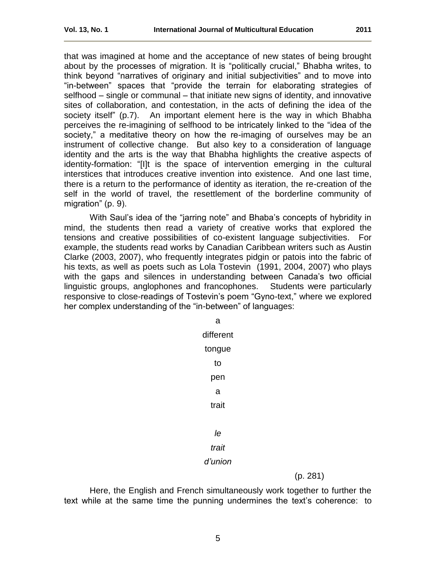that was imagined at home and the acceptance of new states of being brought about by the processes of migration. It is "politically crucial," Bhabha writes, to think beyond "narratives of originary and initial subjectivities" and to move into "in-between" spaces that "provide the terrain for elaborating strategies of selfhood – single or communal – that initiate new signs of identity, and innovative sites of collaboration, and contestation, in the acts of defining the idea of the society itself" (p.7). An important element here is the way in which Bhabha perceives the re-imagining of selfhood to be intricately linked to the "idea of the society," a meditative theory on how the re-imaging of ourselves may be an instrument of collective change. But also key to a consideration of language identity and the arts is the way that Bhabha highlights the creative aspects of identity-formation: "[I]t is the space of intervention emerging in the cultural interstices that introduces creative invention into existence. And one last time, there is a return to the performance of identity as iteration, the re-creation of the self in the world of travel, the resettlement of the borderline community of migration" (p. 9).

With Saul's idea of the "jarring note" and Bhaba's concepts of hybridity in mind, the students then read a variety of creative works that explored the tensions and creative possibilities of co-existent language subjectivities. For example, the students read works by Canadian Caribbean writers such as Austin Clarke (2003, 2007), who frequently integrates pidgin or patois into the fabric of his texts, as well as poets such as Lola Tostevin (1991, 2004, 2007) who plays with the gaps and silences in understanding between Canada's two official linguistic groups, anglophones and francophones. Students were particularly responsive to close-readings of Tostevin's poem "Gyno-text," where we explored her complex understanding of the "in-between" of languages:

| a         |          |
|-----------|----------|
| different |          |
| tongue    |          |
| to        |          |
| pen       |          |
| a         |          |
| trait     |          |
|           |          |
| le        |          |
| trait     |          |
| d'union   |          |
|           | (p. 281) |

Here, the English and French simultaneously work together to further the text while at the same time the punning undermines the text's coherence: to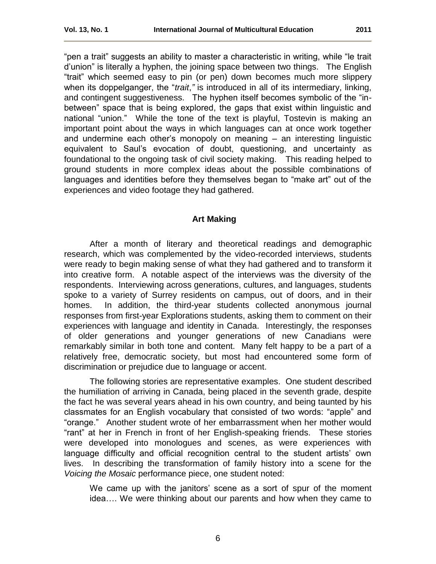"pen a trait" suggests an ability to master a characteristic in writing, while "le trait d'union" is literally a hyphen, the joining space between two things. The English ―trait‖ which seemed easy to pin (or pen) down becomes much more slippery when its doppelganger, the "*trait*," is introduced in all of its intermediary, linking, and contingent suggestiveness. The hyphen itself becomes symbolic of the "inbetween" space that is being explored, the gaps that exist within linguistic and national "union." While the tone of the text is playful, Tostevin is making an important point about the ways in which languages can at once work together and undermine each other's monopoly on meaning – an interesting linguistic equivalent to Saul's evocation of doubt, questioning, and uncertainty as foundational to the ongoing task of civil society making. This reading helped to ground students in more complex ideas about the possible combinations of languages and identities before they themselves began to "make art" out of the experiences and video footage they had gathered.

#### <span id="page-5-0"></span> **Art Making**

After a month of literary and theoretical readings and demographic research, which was complemented by the video-recorded interviews, students were ready to begin making sense of what they had gathered and to transform it into creative form. A notable aspect of the interviews was the diversity of the respondents. Interviewing across generations, cultures, and languages, students spoke to a variety of Surrey residents on campus, out of doors, and in their homes. In addition, the third-year students collected anonymous journal responses from first-year Explorations students, asking them to comment on their experiences with language and identity in Canada. Interestingly, the responses of older generations and younger generations of new Canadians were remarkably similar in both tone and content. Many felt happy to be a part of a relatively free, democratic society, but most had encountered some form of discrimination or prejudice due to language or accent.

The following stories are representative examples. One student described the humiliation of arriving in Canada, being placed in the seventh grade, despite the fact he was several years ahead in his own country, and being taunted by his classmates for an English vocabulary that consisted of two words: "apple" and "orange." Another student wrote of her embarrassment when her mother would ―rant‖ at her in French in front of her English-speaking friends. These stories were developed into monologues and scenes, as were experiences with language difficulty and official recognition central to the student artists' own lives. In describing the transformation of family history into a scene for the *Voicing the Mosaic* performance piece, one student noted:

We came up with the janitors' scene as a sort of spur of the moment idea…. We were thinking about our parents and how when they came to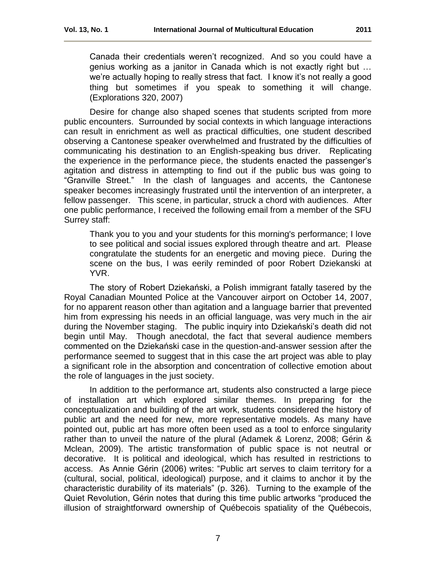Canada their credentials weren't recognized. And so you could have a genius working as a janitor in Canada which is not exactly right but … we're actually hoping to really stress that fact. I know it's not really a good thing but sometimes if you speak to something it will change. (Explorations 320, 2007)

Desire for change also shaped scenes that students scripted from more public encounters. Surrounded by social contexts in which language interactions can result in enrichment as well as practical difficulties, one student described observing a Cantonese speaker overwhelmed and frustrated by the difficulties of communicating his destination to an English-speaking bus driver. Replicating the experience in the performance piece, the students enacted the passenger's agitation and distress in attempting to find out if the public bus was going to ―Granville Street.‖ In the clash of languages and accents, the Cantonese speaker becomes increasingly frustrated until the intervention of an interpreter, a fellow passenger. This scene, in particular, struck a chord with audiences. After one public performance, I received the following email from a member of the SFU Surrey staff:

Thank you to you and your students for this morning's performance; I love to see political and social issues explored through theatre and art. Please congratulate the students for an energetic and moving piece. During the scene on the bus, I was eerily reminded of poor Robert Dziekanski at YVR.

The story of Robert Dziekański, a Polish immigrant fatally tasered by the Royal Canadian Mounted Police at the Vancouver airport on October 14, 2007, for no apparent reason other than agitation and a language barrier that prevented him from expressing his needs in an official language, was very much in the air during the November staging. The public inquiry into Dziekański's death did not begin until May. Though anecdotal, the fact that several audience members commented on the Dziekański case in the question-and-answer session after the performance seemed to suggest that in this case the art project was able to play a significant role in the absorption and concentration of collective emotion about the role of languages in the just society.

In addition to the performance art, students also constructed a large piece of installation art which explored similar themes. In preparing for the conceptualization and building of the art work, students considered the history of public art and the need for new, more representative models. As many have pointed out, public art has more often been used as a tool to enforce singularity rather than to unveil the nature of the plural (Adamek & Lorenz, 2008; Gérin & Mclean, 2009). The artistic transformation of public space is not neutral or decorative. It is political and ideological, which has resulted in restrictions to access. As Annie Gérin (2006) writes: "Public art serves to claim territory for a (cultural, social, political, ideological) purpose, and it claims to anchor it by the characteristic durability of its materials" (p. 326). Turning to the example of the Quiet Revolution, Gérin notes that during this time public artworks "produced the illusion of straightforward ownership of Québecois spatiality of the Québecois,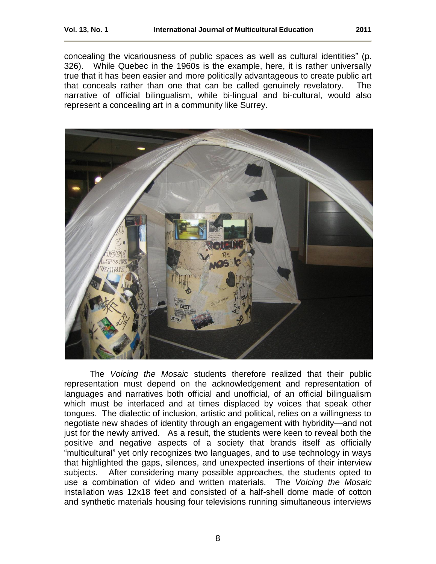concealing the vicariousness of public spaces as well as cultural identities" (p. 326). While Quebec in the 1960s is the example, here, it is rather universally true that it has been easier and more politically advantageous to create public art that conceals rather than one that can be called genuinely revelatory. The narrative of official bilingualism, while bi-lingual and bi-cultural, would also represent a concealing art in a community like Surrey.



The *Voicing the Mosaic* students therefore realized that their public representation must depend on the acknowledgement and representation of languages and narratives both official and unofficial, of an official bilingualism which must be interlaced and at times displaced by voices that speak other tongues. The dialectic of inclusion, artistic and political, relies on a willingness to negotiate new shades of identity through an engagement with hybridity—and not just for the newly arrived. As a result, the students were keen to reveal both the positive and negative aspects of a society that brands itself as officially "multicultural" yet only recognizes two languages, and to use technology in ways that highlighted the gaps, silences, and unexpected insertions of their interview subjects. After considering many possible approaches, the students opted to use a combination of video and written materials. The *Voicing the Mosaic* installation was 12x18 feet and consisted of a half-shell dome made of cotton and synthetic materials housing four televisions running simultaneous interviews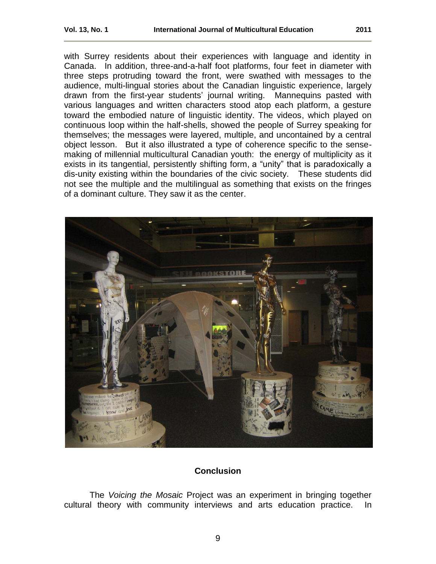with Surrey residents about their experiences with language and identity in Canada. In addition, three-and-a-half foot platforms, four feet in diameter with three steps protruding toward the front, were swathed with messages to the audience, multi-lingual stories about the Canadian linguistic experience, largely drawn from the first-year students' journal writing. Mannequins pasted with various languages and written characters stood atop each platform, a gesture toward the embodied nature of linguistic identity. The videos, which played on continuous loop within the half-shells, showed the people of Surrey speaking for themselves; the messages were layered, multiple, and uncontained by a central object lesson. But it also illustrated a type of coherence specific to the sensemaking of millennial multicultural Canadian youth: the energy of multiplicity as it exists in its tangential, persistently shifting form, a "unity" that is paradoxically a dis-unity existing within the boundaries of the civic society. These students did not see the multiple and the multilingual as something that exists on the fringes of a dominant culture. They saw it as the center.



# <span id="page-8-0"></span>**Conclusion**

The *Voicing the Mosaic* Project was an experiment in bringing together cultural theory with community interviews and arts education practice. In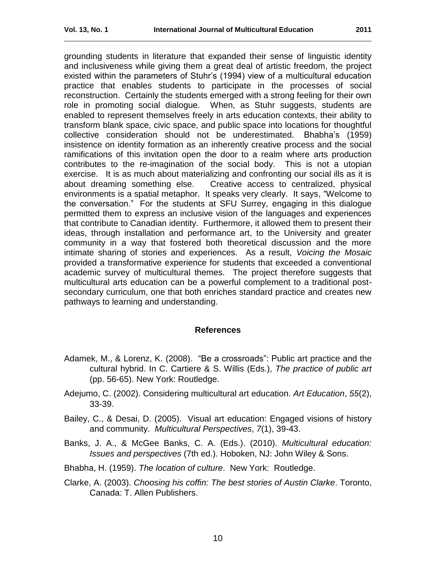grounding students in literature that expanded their sense of linguistic identity and inclusiveness while giving them a great deal of artistic freedom, the project existed within the parameters of Stuhr's (1994) view of a multicultural education practice that enables students to participate in the processes of social reconstruction. Certainly the students emerged with a strong feeling for their own role in promoting social dialogue. When, as Stuhr suggests, students are enabled to represent themselves freely in arts education contexts, their ability to transform blank space, civic space, and public space into locations for thoughtful collective consideration should not be underestimated. Bhabha's (1959) insistence on identity formation as an inherently creative process and the social ramifications of this invitation open the door to a realm where arts production contributes to the re-imagination of the social body. This is not a utopian exercise. It is as much about materializing and confronting our social ills as it is about dreaming something else. Creative access to centralized, physical environments is a spatial metaphor. It speaks very clearly. It says, "Welcome to the conversation.‖ For the students at SFU Surrey, engaging in this dialogue permitted them to express an inclusive vision of the languages and experiences that contribute to Canadian identity. Furthermore, it allowed them to present their ideas, through installation and performance art, to the University and greater community in a way that fostered both theoretical discussion and the more intimate sharing of stories and experiences. As a result, *Voicing the Mosaic* provided a transformative experience for students that exceeded a conventional academic survey of multicultural themes. The project therefore suggests that multicultural arts education can be a powerful complement to a traditional postsecondary curriculum, one that both enriches standard practice and creates new pathways to learning and understanding.

#### <span id="page-9-0"></span>**References**

- Adamek, M., & Lorenz, K. (2008). "Be a crossroads": Public art practice and the cultural hybrid. In C. Cartiere & S. Willis (Eds.), *The practice of public art* (pp. 56-65). New York: Routledge.
- Adejumo, C. (2002). Considering multicultural art education. *Art Education*, *55*(2), 33-39.
- Bailey, C., & Desai, D. (2005). Visual art education: Engaged visions of history and community. *Multicultural Perspectives*, *7*(1), 39-43.
- Banks, J. A., & McGee Banks, C. A. (Eds.). (2010). *Multicultural education: Issues and perspectives* (7th ed.). Hoboken, NJ: John Wiley & Sons.
- Bhabha, H. (1959). *The location of culture*. New York: Routledge.
- Clarke, A. (2003). *Choosing his coffin: The best stories of Austin Clarke*. Toronto, Canada: T. Allen Publishers.